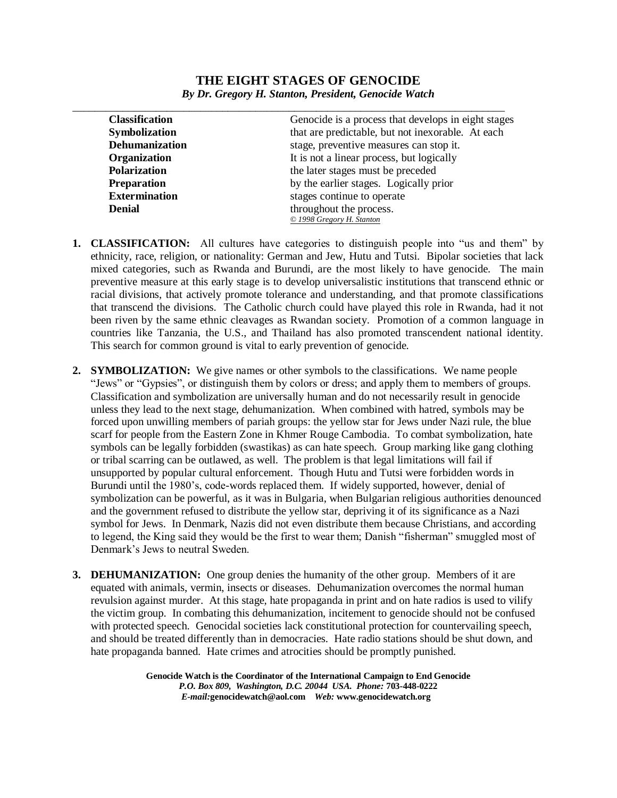## **THE EIGHT STAGES OF GENOCIDE** *By Dr. Gregory H. Stanton, President, Genocide Watch*

\_\_\_\_\_\_\_\_\_\_\_\_\_\_\_\_\_\_\_\_\_\_\_\_\_\_\_\_\_\_\_\_\_\_\_\_\_\_\_\_\_\_\_\_\_\_\_\_\_\_\_\_\_\_\_\_\_\_\_\_\_\_\_\_\_\_\_\_\_\_\_\_\_\_\_\_\_\_

| <b>Classification</b> | Genocide is a process that develops in eight stages |
|-----------------------|-----------------------------------------------------|
| <b>Symbolization</b>  | that are predictable, but not inexorable. At each   |
| <b>Dehumanization</b> | stage, preventive measures can stop it.             |
| Organization          | It is not a linear process, but logically           |
| <b>Polarization</b>   | the later stages must be preceded                   |
| <b>Preparation</b>    | by the earlier stages. Logically prior              |
| <b>Extermination</b>  | stages continue to operate                          |
| <b>Denial</b>         | throughout the process.                             |
|                       | © 1998 Gregory H. Stanton                           |

- **1. CLASSIFICATION:** All cultures have categories to distinguish people into "us and them" by ethnicity, race, religion, or nationality: German and Jew, Hutu and Tutsi. Bipolar societies that lack mixed categories, such as Rwanda and Burundi, are the most likely to have genocide. The main preventive measure at this early stage is to develop universalistic institutions that transcend ethnic or racial divisions, that actively promote tolerance and understanding, and that promote classifications that transcend the divisions. The Catholic church could have played this role in Rwanda, had it not been riven by the same ethnic cleavages as Rwandan society. Promotion of a common language in countries like Tanzania, the U.S., and Thailand has also promoted transcendent national identity. This search for common ground is vital to early prevention of genocide.
- **2. SYMBOLIZATION:** We give names or other symbols to the classifications. We name people "Jews" or "Gypsies", or distinguish them by colors or dress; and apply them to members of groups. Classification and symbolization are universally human and do not necessarily result in genocide unless they lead to the next stage, dehumanization. When combined with hatred, symbols may be forced upon unwilling members of pariah groups: the yellow star for Jews under Nazi rule, the blue scarf for people from the Eastern Zone in Khmer Rouge Cambodia. To combat symbolization, hate symbols can be legally forbidden (swastikas) as can hate speech. Group marking like gang clothing or tribal scarring can be outlawed, as well. The problem is that legal limitations will fail if unsupported by popular cultural enforcement. Though Hutu and Tutsi were forbidden words in Burundi until the 1980's, code-words replaced them. If widely supported, however, denial of symbolization can be powerful, as it was in Bulgaria, when Bulgarian religious authorities denounced and the government refused to distribute the yellow star, depriving it of its significance as a Nazi symbol for Jews. In Denmark, Nazis did not even distribute them because Christians, and according to legend, the King said they would be the first to wear them; Danish "fisherman" smuggled most of Denmark's Jews to neutral Sweden.
- **3. DEHUMANIZATION:** One group denies the humanity of the other group. Members of it are equated with animals, vermin, insects or diseases. Dehumanization overcomes the normal human revulsion against murder. At this stage, hate propaganda in print and on hate radios is used to vilify the victim group. In combating this dehumanization, incitement to genocide should not be confused with protected speech. Genocidal societies lack constitutional protection for countervailing speech, and should be treated differently than in democracies. Hate radio stations should be shut down, and hate propaganda banned. Hate crimes and atrocities should be promptly punished.

**Genocide Watch is the Coordinator of the International Campaign to End Genocide** *P.O. Box 809, Washington, D.C. 20044 USA. Phone:* **703-448-0222**  *E-mail:***genocidewatch@aol.com** *Web:* **www.genocidewatch.org**